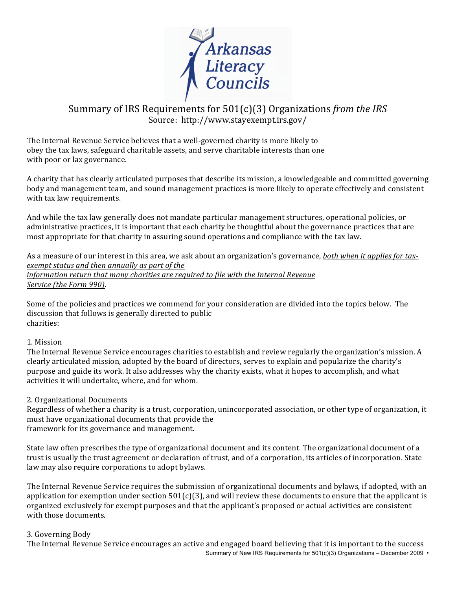

# Summary of IRS Requirements for  $501(c)(3)$  Organizations *from the IRS* Source: http://www.stayexempt.irs.gov/

The Internal Revenue Service believes that a well-governed charity is more likely to obey the tax laws, safeguard charitable assets, and serve charitable interests than one with poor or lax governance.

A charity that has clearly articulated purposes that describe its mission, a knowledgeable and committed governing body and management team, and sound management practices is more likely to operate effectively and consistent with tax law requirements.

And while the tax law generally does not mandate particular management structures, operational policies, or administrative practices, it is important that each charity be thoughtful about the governance practices that are most appropriate for that charity in assuring sound operations and compliance with the tax law.

As a measure of our interest in this area, we ask about an organization's governance, *both when it applies for taxexempt status and then annually as part of the information return that many charities are required to file with the Internal Revenue* Service (the Form 990).

Some of the policies and practices we commend for your consideration are divided into the topics below. The discussion that follows is generally directed to public charities:

## 1. Mission

The Internal Revenue Service encourages charities to establish and review regularly the organization's mission. A clearly articulated mission, adopted by the board of directors, serves to explain and popularize the charity's purpose and guide its work. It also addresses why the charity exists, what it hopes to accomplish, and what activities it will undertake, where, and for whom.

## 2. Organizational Documents

Regardless of whether a charity is a trust, corporation, unincorporated association, or other type of organization, it must have organizational documents that provide the framework for its governance and management.

State law often prescribes the type of organizational document and its content. The organizational document of a trust is usually the trust agreement or declaration of trust, and of a corporation, its articles of incorporation. State law may also require corporations to adopt bylaws.

The Internal Revenue Service requires the submission of organizational documents and bylaws, if adopted, with an application for exemption under section  $501(c)(3)$ , and will review these documents to ensure that the applicant is organized exclusively for exempt purposes and that the applicant's proposed or actual activities are consistent with those documents.

## 3. Governing Body

Summary of New IRS Requirements for 501(c)(3) Organizations – December 2009 • The Internal Revenue Service encourages an active and engaged board believing that it is important to the success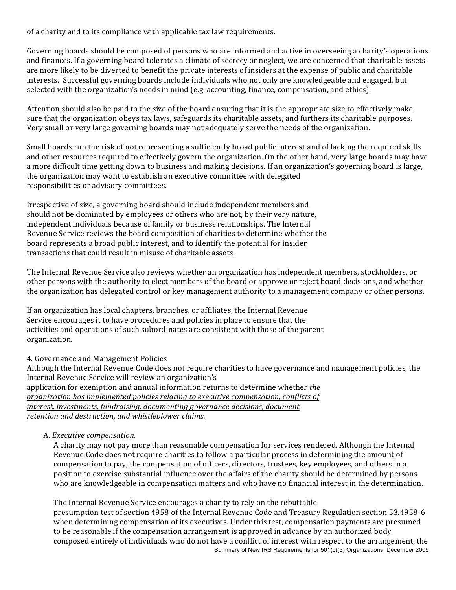of a charity and to its compliance with applicable tax law requirements.

Governing boards should be composed of persons who are informed and active in overseeing a charity's operations and finances. If a governing board tolerates a climate of secrecy or neglect, we are concerned that charitable assets are more likely to be diverted to benefit the private interests of insiders at the expense of public and charitable interests. Successful governing boards include individuals who not only are knowledgeable and engaged, but selected with the organization's needs in mind (e.g. accounting, finance, compensation, and ethics).

Attention should also be paid to the size of the board ensuring that it is the appropriate size to effectively make sure that the organization obeys tax laws, safeguards its charitable assets, and furthers its charitable purposes. Very small or very large governing boards may not adequately serve the needs of the organization.

Small boards run the risk of not representing a sufficiently broad public interest and of lacking the required skills and other resources required to effectively govern the organization. On the other hand, very large boards may have a more difficult time getting down to business and making decisions. If an organization's governing board is large, the organization may want to establish an executive committee with delegated responsibilities or advisory committees.

Irrespective of size, a governing board should include independent members and should not be dominated by employees or others who are not, by their very nature, independent individuals because of family or business relationships. The Internal Revenue Service reviews the board composition of charities to determine whether the board represents a broad public interest, and to identify the potential for insider transactions that could result in misuse of charitable assets.

The Internal Revenue Service also reviews whether an organization has independent members, stockholders, or other persons with the authority to elect members of the board or approve or reject board decisions, and whether the organization has delegated control or key management authority to a management company or other persons.

If an organization has local chapters, branches, or affiliates, the Internal Revenue Service encourages it to have procedures and policies in place to ensure that the activities and operations of such subordinates are consistent with those of the parent organization. 

#### 4. Governance and Management Policies

Although the Internal Revenue Code does not require charities to have governance and management policies, the Internal Revenue Service will review an organization's application for exemption and annual information returns to determine whether *the organization has implemented policies relating to executive compensation, conflicts of interest, investments, fundraising, documenting governance decisions, document* 

*retention and destruction, and whistleblower claims.*

## A. *Executive compensation*.

A charity may not pay more than reasonable compensation for services rendered. Although the Internal Revenue Code does not require charities to follow a particular process in determining the amount of compensation to pay, the compensation of officers, directors, trustees, key employees, and others in a position to exercise substantial influence over the affairs of the charity should be determined by persons who are knowledgeable in compensation matters and who have no financial interest in the determination.

Summary of New IRS Requirements for 501(c)(3) Organizations December 2009 The Internal Revenue Service encourages a charity to rely on the rebuttable presumption test of section 4958 of the Internal Revenue Code and Treasury Regulation section 53.4958-6 when determining compensation of its executives. Under this test, compensation payments are presumed to be reasonable if the compensation arrangement is approved in advance by an authorized body composed entirely of individuals who do not have a conflict of interest with respect to the arrangement, the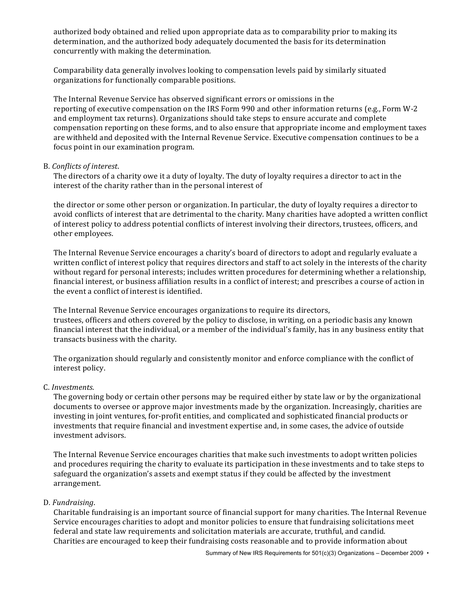authorized body obtained and relied upon appropriate data as to comparability prior to making its determination, and the authorized body adequately documented the basis for its determination concurrently with making the determination.

Comparability data generally involves looking to compensation levels paid by similarly situated organizations for functionally comparable positions.

The Internal Revenue Service has observed significant errors or omissions in the reporting of executive compensation on the IRS Form 990 and other information returns (e.g., Form W-2 and employment tax returns). Organizations should take steps to ensure accurate and complete compensation reporting on these forms, and to also ensure that appropriate income and employment taxes are withheld and deposited with the Internal Revenue Service. Executive compensation continues to be a focus point in our examination program.

### B*. Conflicts of interest*.

The directors of a charity owe it a duty of loyalty. The duty of loyalty requires a director to act in the interest of the charity rather than in the personal interest of

the director or some other person or organization. In particular, the duty of loyalty requires a director to avoid conflicts of interest that are detrimental to the charity. Many charities have adopted a written conflict of interest policy to address potential conflicts of interest involving their directors, trustees, officers, and other employees.

The Internal Revenue Service encourages a charity's board of directors to adopt and regularly evaluate a written conflict of interest policy that requires directors and staff to act solely in the interests of the charity without regard for personal interests; includes written procedures for determining whether a relationship, financial interest, or business affiliation results in a conflict of interest; and prescribes a course of action in the event a conflict of interest is identified.

The Internal Revenue Service encourages organizations to require its directors, trustees, officers and others covered by the policy to disclose, in writing, on a periodic basis any known financial interest that the individual, or a member of the individual's family, has in any business entity that transacts business with the charity.

The organization should regularly and consistently monitor and enforce compliance with the conflict of interest policy.

#### C. *Investments*.

The governing body or certain other persons may be required either by state law or by the organizational documents to oversee or approve major investments made by the organization. Increasingly, charities are investing in joint ventures, for-profit entities, and complicated and sophisticated financial products or investments that require financial and investment expertise and, in some cases, the advice of outside investment advisors.

The Internal Revenue Service encourages charities that make such investments to adopt written policies and procedures requiring the charity to evaluate its participation in these investments and to take steps to safeguard the organization's assets and exempt status if they could be affected by the investment arrangement. 

## D. Fundraising.

Charitable fundraising is an important source of financial support for many charities. The Internal Revenue Service encourages charities to adopt and monitor policies to ensure that fundraising solicitations meet federal and state law requirements and solicitation materials are accurate, truthful, and candid. Charities are encouraged to keep their fundraising costs reasonable and to provide information about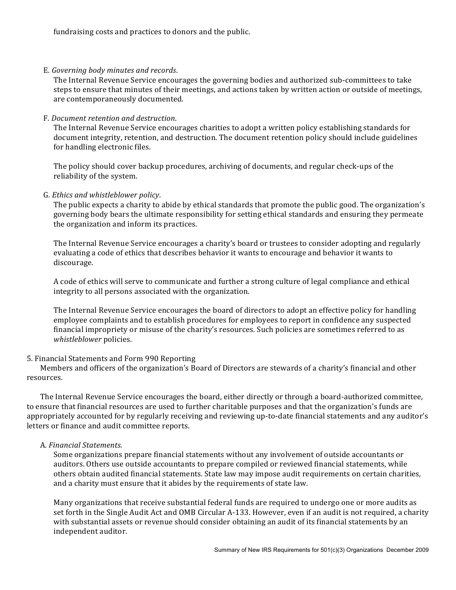fundraising costs and practices to donors and the public.

E*. Governing body minutes and records*. 

The Internal Revenue Service encourages the governing bodies and authorized sub-committees to take steps to ensure that minutes of their meetings, and actions taken by written action or outside of meetings, are contemporaneously documented.

#### F*. Document retention and destruction*.

The Internal Revenue Service encourages charities to adopt a written policy establishing standards for document integrity, retention, and destruction. The document retention policy should include guidelines for handling electronic files.

The policy should cover backup procedures, archiving of documents, and regular check-ups of the reliability of the system.

G*. Ethics and whistleblower policy*. 

The public expects a charity to abide by ethical standards that promote the public good. The organization's governing body bears the ultimate responsibility for setting ethical standards and ensuring they permeate the organization and inform its practices.

The Internal Revenue Service encourages a charity's board or trustees to consider adopting and regularly evaluating a code of ethics that describes behavior it wants to encourage and behavior it wants to discourage. 

A code of ethics will serve to communicate and further a strong culture of legal compliance and ethical integrity to all persons associated with the organization.

The Internal Revenue Service encourages the board of directors to adopt an effective policy for handling employee complaints and to establish procedures for employees to report in confidence any suspected financial impropriety or misuse of the charity's resources. Such policies are sometimes referred to as *whistleblower* policies. 

#### 5. Financial Statements and Form 990 Reporting

Members and officers of the organization's Board of Directors are stewards of a charity's financial and other resources. 

The Internal Revenue Service encourages the board, either directly or through a board-authorized committee, to ensure that financial resources are used to further charitable purposes and that the organization's funds are appropriately accounted for by regularly receiving and reviewing up-to-date financial statements and any auditor's letters or finance and audit committee reports.

#### A*. Financial Statements.*

Some organizations prepare financial statements without any involvement of outside accountants or auditors. Others use outside accountants to prepare compiled or reviewed financial statements, while others obtain audited financial statements. State law may impose audit requirements on certain charities, and a charity must ensure that it abides by the requirements of state law.

Many organizations that receive substantial federal funds are required to undergo one or more audits as set forth in the Single Audit Act and OMB Circular A-133. However, even if an audit is not required, a charity with substantial assets or revenue should consider obtaining an audit of its financial statements by an independent auditor.